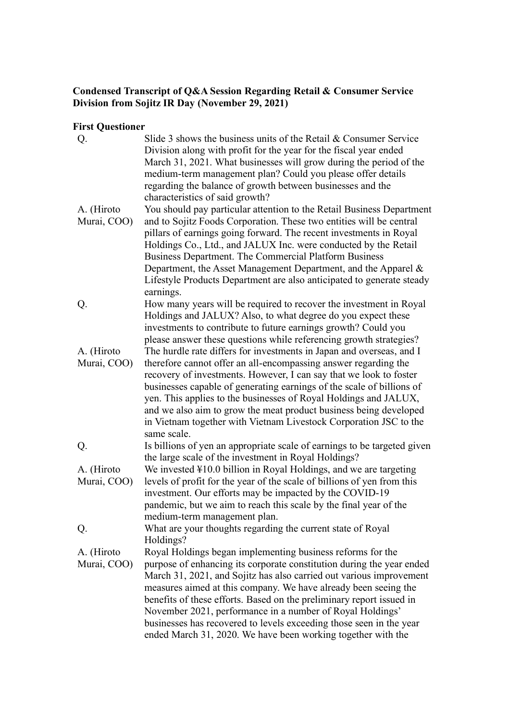## **Condensed Transcript of Q&A Session Regarding Retail & Consumer Service Division from Sojitz IR Day (November 29, 2021)**

## **First Questioner**

| Q.          | Slide 3 shows the business units of the Retail & Consumer Service<br>Division along with profit for the year for the fiscal year ended |
|-------------|----------------------------------------------------------------------------------------------------------------------------------------|
|             | March 31, 2021. What businesses will grow during the period of the                                                                     |
|             | medium-term management plan? Could you please offer details                                                                            |
|             | regarding the balance of growth between businesses and the                                                                             |
|             | characteristics of said growth?                                                                                                        |
| A. (Hiroto  | You should pay particular attention to the Retail Business Department                                                                  |
| Murai, COO) | and to Sojitz Foods Corporation. These two entities will be central                                                                    |
|             | pillars of earnings going forward. The recent investments in Royal                                                                     |
|             | Holdings Co., Ltd., and JALUX Inc. were conducted by the Retail                                                                        |
|             | Business Department. The Commercial Platform Business                                                                                  |
|             | Department, the Asset Management Department, and the Apparel &                                                                         |
|             | Lifestyle Products Department are also anticipated to generate steady                                                                  |
|             | earnings.                                                                                                                              |
| Q.          | How many years will be required to recover the investment in Royal                                                                     |
|             | Holdings and JALUX? Also, to what degree do you expect these                                                                           |
|             | investments to contribute to future earnings growth? Could you                                                                         |
|             | please answer these questions while referencing growth strategies?                                                                     |
| A. (Hiroto  | The hurdle rate differs for investments in Japan and overseas, and I                                                                   |
| Murai, COO) | therefore cannot offer an all-encompassing answer regarding the                                                                        |
|             | recovery of investments. However, I can say that we look to foster                                                                     |
|             | businesses capable of generating earnings of the scale of billions of                                                                  |
|             | yen. This applies to the businesses of Royal Holdings and JALUX,                                                                       |
|             | and we also aim to grow the meat product business being developed                                                                      |
|             | in Vietnam together with Vietnam Livestock Corporation JSC to the                                                                      |
|             | same scale.                                                                                                                            |
| Q.          | Is billions of yen an appropriate scale of earnings to be targeted given                                                               |
|             | the large scale of the investment in Royal Holdings?                                                                                   |
| A. (Hiroto  | We invested ¥10.0 billion in Royal Holdings, and we are targeting                                                                      |
| Murai, COO) | levels of profit for the year of the scale of billions of yen from this                                                                |
|             | investment. Our efforts may be impacted by the COVID-19                                                                                |
|             | pandemic, but we aim to reach this scale by the final year of the                                                                      |
|             | medium-term management plan.                                                                                                           |
| Q.          | What are your thoughts regarding the current state of Royal                                                                            |
| A. (Hiroto  | Holdings?                                                                                                                              |
| Murai, COO) | Royal Holdings began implementing business reforms for the<br>purpose of enhancing its corporate constitution during the year ended    |
|             | March 31, 2021, and Sojitz has also carried out various improvement                                                                    |
|             | measures aimed at this company. We have already been seeing the                                                                        |
|             | benefits of these efforts. Based on the preliminary report issued in                                                                   |
|             | November 2021, performance in a number of Royal Holdings'                                                                              |
|             | businesses has recovered to levels exceeding those seen in the year                                                                    |
|             | ended March 31, 2020. We have been working together with the                                                                           |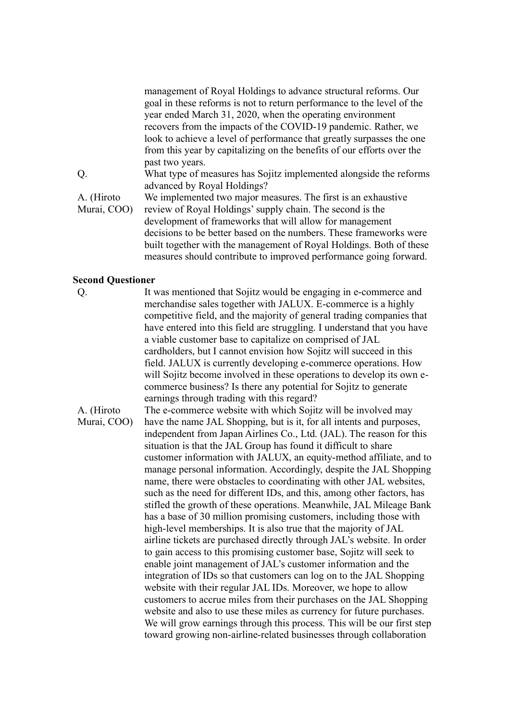management of Royal Holdings to advance structural reforms. Our goal in these reforms is not to return performance to the level of the year ended March 31, 2020, when the operating environment recovers from the impacts of the COVID-19 pandemic. Rather, we look to achieve a level of performance that greatly surpasses the one from this year by capitalizing on the benefits of our efforts over the past two years.

Q. What type of measures has Sojitz implemented alongside the reforms advanced by Royal Holdings?

A. (Hiroto Murai, COO) We implemented two major measures. The first is an exhaustive review of Royal Holdings' supply chain. The second is the development of frameworks that will allow for management decisions to be better based on the numbers. These frameworks were built together with the management of Royal Holdings. Both of these measures should contribute to improved performance going forward.

## **Second Questioner**

Q. It was mentioned that Sojitz would be engaging in e-commerce and merchandise sales together with JALUX. E-commerce is a highly competitive field, and the majority of general trading companies that have entered into this field are struggling. I understand that you have a viable customer base to capitalize on comprised of JAL cardholders, but I cannot envision how Sojitz will succeed in this field. JALUX is currently developing e-commerce operations. How will Sojitz become involved in these operations to develop its own ecommerce business? Is there any potential for Sojitz to generate earnings through trading with this regard?

A. (Hiroto Murai, COO) The e-commerce website with which Sojitz will be involved may have the name JAL Shopping, but is it, for all intents and purposes, independent from Japan Airlines Co., Ltd. (JAL). The reason for this situation is that the JAL Group has found it difficult to share customer information with JALUX, an equity-method affiliate, and to manage personal information. Accordingly, despite the JAL Shopping name, there were obstacles to coordinating with other JAL websites, such as the need for different IDs, and this, among other factors, has stifled the growth of these operations. Meanwhile, JAL Mileage Bank has a base of 30 million promising customers, including those with high-level memberships. It is also true that the majority of JAL airline tickets are purchased directly through JAL's website. In order to gain access to this promising customer base, Sojitz will seek to enable joint management of JAL's customer information and the integration of IDs so that customers can log on to the JAL Shopping website with their regular JAL IDs. Moreover, we hope to allow customers to accrue miles from their purchases on the JAL Shopping website and also to use these miles as currency for future purchases. We will grow earnings through this process. This will be our first step toward growing non-airline-related businesses through collaboration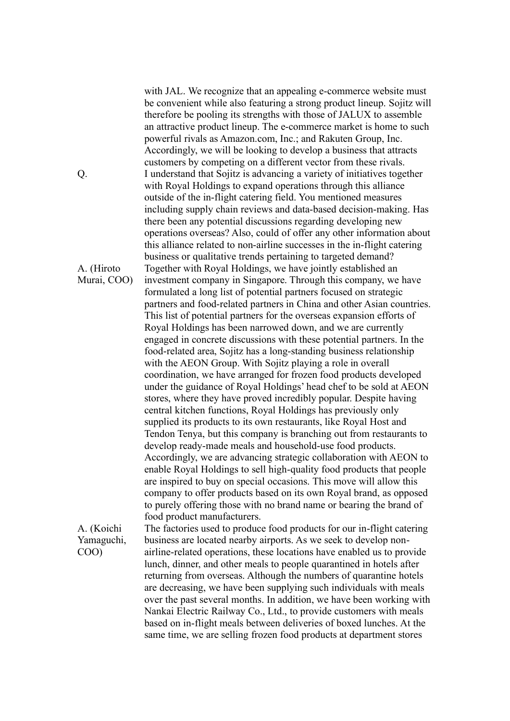with JAL. We recognize that an appealing e-commerce website must be convenient while also featuring a strong product lineup. Sojitz will therefore be pooling its strengths with those of JALUX to assemble an attractive product lineup. The e-commerce market is home to such powerful rivals as Amazon.com, Inc.; and Rakuten Group, Inc. Accordingly, we will be looking to develop a business that attracts customers by competing on a different vector from these rivals. Q. I understand that Sojitz is advancing a variety of initiatives together with Royal Holdings to expand operations through this alliance outside of the in-flight catering field. You mentioned measures including supply chain reviews and data-based decision-making. Has there been any potential discussions regarding developing new operations overseas? Also, could of offer any other information about this alliance related to non-airline successes in the in-flight catering business or qualitative trends pertaining to targeted demand? Together with Royal Holdings, we have jointly established an investment company in Singapore. Through this company, we have formulated a long list of potential partners focused on strategic partners and food-related partners in China and other Asian countries. This list of potential partners for the overseas expansion efforts of Royal Holdings has been narrowed down, and we are currently engaged in concrete discussions with these potential partners. In the food-related area, Sojitz has a long-standing business relationship with the AEON Group. With Sojitz playing a role in overall coordination, we have arranged for frozen food products developed under the guidance of Royal Holdings' head chef to be sold at AEON stores, where they have proved incredibly popular. Despite having central kitchen functions, Royal Holdings has previously only supplied its products to its own restaurants, like Royal Host and Tendon Tenya, but this company is branching out from restaurants to develop ready-made meals and household-use food products. Accordingly, we are advancing strategic collaboration with AEON to enable Royal Holdings to sell high-quality food products that people are inspired to buy on special occasions. This move will allow this company to offer products based on its own Royal brand, as opposed to purely offering those with no brand name or bearing the brand of food product manufacturers.

A. (Koichi Yamaguchi, COO)

The factories used to produce food products for our in-flight catering business are located nearby airports. As we seek to develop nonairline-related operations, these locations have enabled us to provide lunch, dinner, and other meals to people quarantined in hotels after returning from overseas. Although the numbers of quarantine hotels are decreasing, we have been supplying such individuals with meals over the past several months. In addition, we have been working with Nankai Electric Railway Co., Ltd., to provide customers with meals based on in-flight meals between deliveries of boxed lunches. At the same time, we are selling frozen food products at department stores

A. (Hiroto Murai, COO)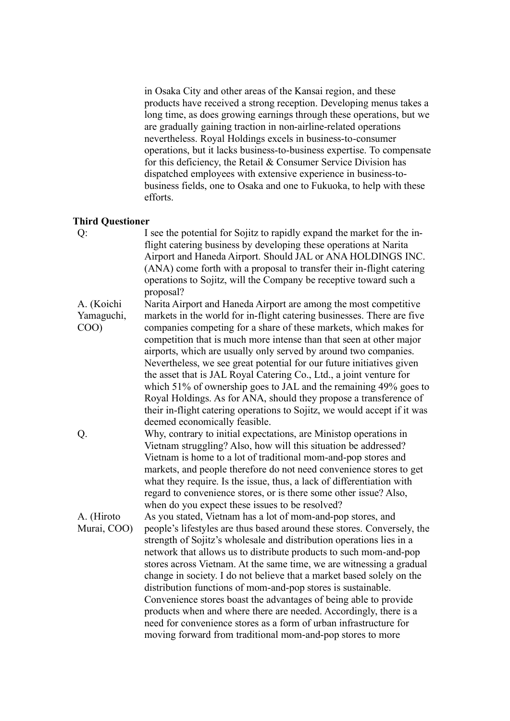in Osaka City and other areas of the Kansai region, and these products have received a strong reception. Developing menus takes a long time, as does growing earnings through these operations, but we are gradually gaining traction in non-airline-related operations nevertheless. Royal Holdings excels in business-to-consumer operations, but it lacks business-to-business expertise. To compensate for this deficiency, the Retail & Consumer Service Division has dispatched employees with extensive experience in business-tobusiness fields, one to Osaka and one to Fukuoka, to help with these efforts.

## **Third Questioner**

Q: I see the potential for Sojitz to rapidly expand the market for the inflight catering business by developing these operations at Narita Airport and Haneda Airport. Should JAL or ANA HOLDINGS INC. (ANA) come forth with a proposal to transfer their in-flight catering operations to Sojitz, will the Company be receptive toward such a proposal?

A. (Koichi Yamaguchi, COO) Narita Airport and Haneda Airport are among the most competitive markets in the world for in-flight catering businesses. There are five companies competing for a share of these markets, which makes for competition that is much more intense than that seen at other major airports, which are usually only served by around two companies. Nevertheless, we see great potential for our future initiatives given the asset that is JAL Royal Catering Co., Ltd., a joint venture for which 51% of ownership goes to JAL and the remaining 49% goes to Royal Holdings. As for ANA, should they propose a transference of their in-flight catering operations to Sojitz, we would accept if it was deemed economically feasible.

Q. Why, contrary to initial expectations, are Ministop operations in Vietnam struggling? Also, how will this situation be addressed? Vietnam is home to a lot of traditional mom-and-pop stores and markets, and people therefore do not need convenience stores to get what they require. Is the issue, thus, a lack of differentiation with regard to convenience stores, or is there some other issue? Also, when do you expect these issues to be resolved?

A. (Hiroto Murai, COO) As you stated, Vietnam has a lot of mom-and-pop stores, and people's lifestyles are thus based around these stores. Conversely, the strength of Sojitz's wholesale and distribution operations lies in a network that allows us to distribute products to such mom-and-pop stores across Vietnam. At the same time, we are witnessing a gradual change in society. I do not believe that a market based solely on the distribution functions of mom-and-pop stores is sustainable. Convenience stores boast the advantages of being able to provide products when and where there are needed. Accordingly, there is a need for convenience stores as a form of urban infrastructure for moving forward from traditional mom-and-pop stores to more